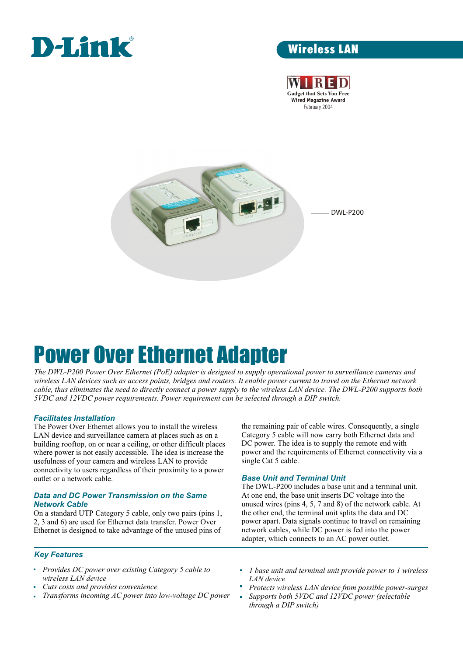

# Wireless LAN





# Power Over Ethernet Adapter

*The DWL-P200 Power Over Ethernet (PoE) adapter is designed to supply operational power to surveillance cameras and wireless LAN devices such as access points, bridges and routers. It enable power current to travel on the Ethernet network cable, thus eliminates the need to directly connect a power supply to the wireless LAN device. The DWL-P200 supports both 5VDC and 12VDC power requirements. Power requirement can be selected through a DIP switch.*

## *Facilitates Installation*

The Power Over Ethernet allows you to install the wireless LAN device and surveillance camera at places such as on a building rooftop, on or near a ceiling, or other difficult places where power is not easily accessible. The idea is increase the usefulness of your camera and wireless LAN to provide connectivity to users regardless of their proximity to a power outlet or a network cable.

## *Data and DC Power Transmission on the Same Network Cable*

On a standard UTP Category 5 cable, only two pairs (pins 1, 2, 3 and 6) are used for Ethernet data transfer. Power Over Ethernet is designed to take advantage of the unused pins of the remaining pair of cable wires. Consequently, a single Category 5 cable will now carry both Ethernet data and DC power. The idea is to supply the remote end with power and the requirements of Ethernet connectivity via a single Cat 5 cable.

### *Base Unit and Terminal Unit*

The DWL-P200 includes a base unit and a terminal unit. At one end, the base unit inserts DC voltage into the unused wires (pins 4, 5, 7 and 8) of the network cable. At the other end, the terminal unit splits the data and DC power apart. Data signals continue to travel on remaining network cables, while DC power is fed into the power adapter, which connects to an AC power outlet.

### *Key Features*

- *Provides DC power over existing Category 5 cable to wireless LAN device*
- *Cuts costs and provides convenience*
- *Transforms incoming AC power into low-voltage DC power*  $\overline{\mathbf{u}}$
- *1 base unit and terminal unit provide power to 1 wireless LAN device*
- *Protects wireless LAN device from possible power-surges*
- *Supports both 5VDC and 12VDC power (selectable through a DIP switch)*